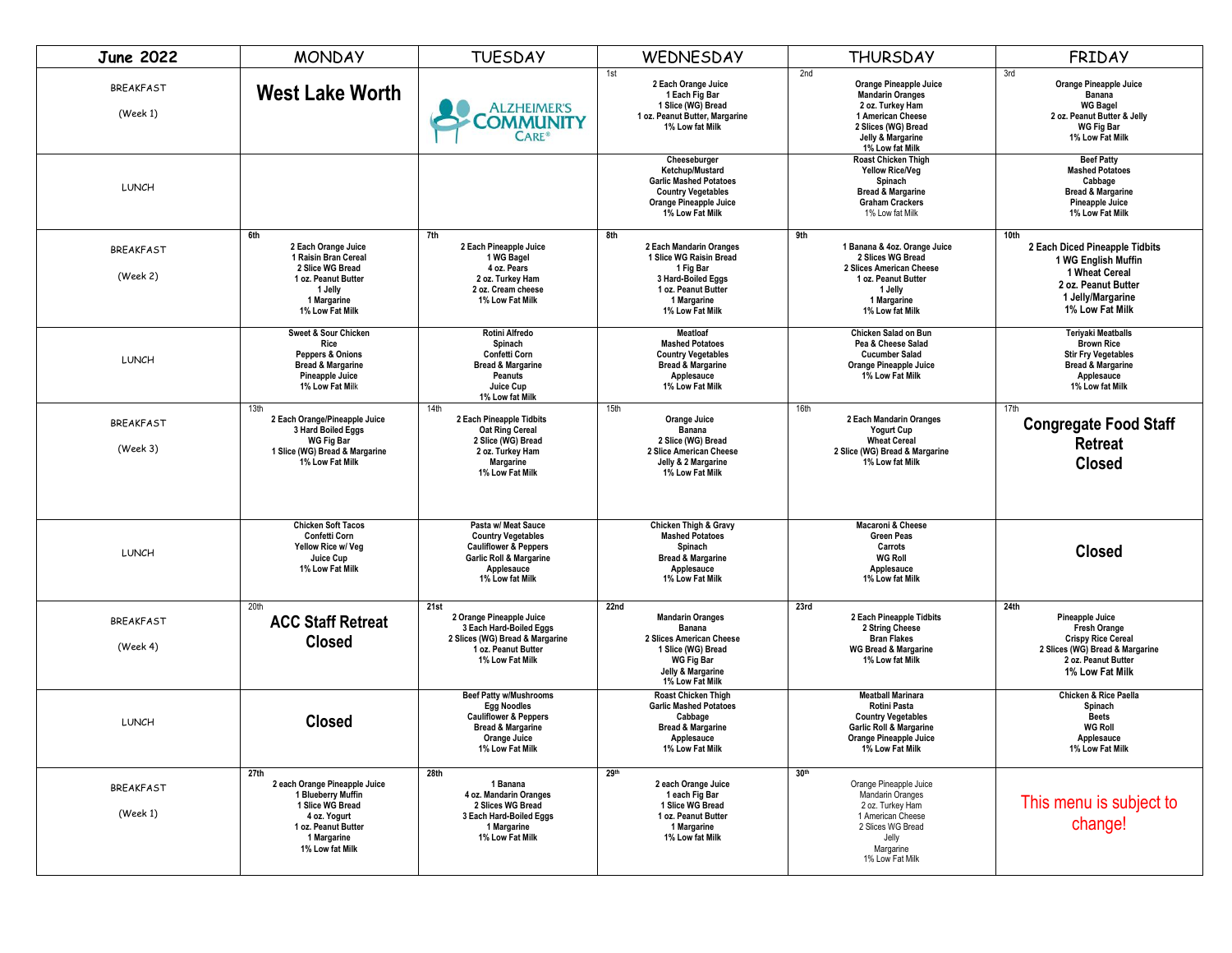| <b>June 2022</b>             | <b>MONDAY</b>                                                                                                                                            | <b>TUESDAY</b>                                                                                                                                              | WEDNESDAY                                                                                                                                                       | <b>THURSDAY</b>                                                                                                                                                              | <b>FRIDAY</b>                                                                                                                                              |
|------------------------------|----------------------------------------------------------------------------------------------------------------------------------------------------------|-------------------------------------------------------------------------------------------------------------------------------------------------------------|-----------------------------------------------------------------------------------------------------------------------------------------------------------------|------------------------------------------------------------------------------------------------------------------------------------------------------------------------------|------------------------------------------------------------------------------------------------------------------------------------------------------------|
| <b>BREAKFAST</b><br>(Week 1) | <b>West Lake Worth</b>                                                                                                                                   | <b>ALZHEIMER'S</b><br><b>COMMUNITY</b><br><b>CARE®</b>                                                                                                      | 1st<br>2 Each Orange Juice<br>1 Each Fig Bar<br>1 Slice (WG) Bread<br>1 oz. Peanut Butter, Margarine<br>1% Low fat Milk                                         | 2nd<br>Orange Pineapple Juice<br><b>Mandarin Oranges</b><br>2 oz. Turkey Ham<br>1 American Cheese<br>2 Slices (WG) Bread<br>Jelly & Margarine<br>1% Low fat Milk             | 3rd<br>Orange Pineapple Juice<br>Banana<br><b>WG Bagel</b><br>2 oz. Peanut Butter & Jelly<br><b>WG Fig Bar</b><br>1% Low Fat Milk                          |
| LUNCH                        |                                                                                                                                                          |                                                                                                                                                             | Cheeseburger<br>Ketchup/Mustard<br><b>Garlic Mashed Potatoes</b><br><b>Country Vegetables</b><br>Orange Pineapple Juice<br>1% Low Fat Milk                      | <b>Roast Chicken Thigh</b><br><b>Yellow Rice/Veg</b><br>Spinach<br><b>Bread &amp; Margarine</b><br><b>Graham Crackers</b><br>1% Low fat Milk                                 | <b>Beef Patty</b><br><b>Mashed Potatoes</b><br>Cabbage<br><b>Bread &amp; Margarine</b><br>Pineapple Juice<br>1% Low Fat Milk                               |
| <b>BREAKFAST</b><br>(Week 2) | 6th<br>2 Each Orange Juice<br>1 Raisin Bran Cereal<br>2 Slice WG Bread<br>1 oz. Peanut Butter<br>1 Jelly<br>1 Margarine<br>1% Low Fat Milk               | 7th<br>2 Each Pineapple Juice<br>1 WG Bagel<br>4 oz. Pears<br>2 oz. Turkey Ham<br>2 oz. Cream cheese<br>1% Low Fat Milk                                     | 8th<br>2 Each Mandarin Oranges<br>1 Slice WG Raisin Bread<br>1 Fig Bar<br>3 Hard-Boiled Eggs<br>1 oz. Peanut Butter<br>1 Margarine<br>1% Low Fat Milk           | 9th<br>1 Banana & 4oz. Orange Juice<br>2 Slices WG Bread<br>2 Slices American Cheese<br>1 oz. Peanut Butter<br>1 Jelly<br>1 Margarine<br>1% Low fat Milk                     | 10 <sub>th</sub><br>2 Each Diced Pineapple Tidbits<br>1 WG English Muffin<br>1 Wheat Cereal<br>2 oz. Peanut Butter<br>1 Jelly/Margarine<br>1% Low Fat Milk |
| LUNCH                        | Sweet & Sour Chicken<br>Rice<br>Peppers & Onions<br><b>Bread &amp; Margarine</b><br>Pineapple Juice<br>1% Low Fat Milk                                   | <b>Rotini Alfredo</b><br>Spinach<br>Confetti Corn<br><b>Bread &amp; Margarine</b><br>Peanuts<br>Juice Cup<br>1% Low fat Milk                                | Meatloaf<br><b>Mashed Potatoes</b><br><b>Country Vegetables</b><br><b>Bread &amp; Margarine</b><br>Applesauce<br>1% Low Fat Milk                                | Chicken Salad on Bun<br>Pea & Cheese Salad<br><b>Cucumber Salad</b><br>Orange Pineapple Juice<br>1% Low Fat Milk                                                             | <b>Teriyaki Meatballs</b><br><b>Brown Rice</b><br><b>Stir Fry Vegetables</b><br><b>Bread &amp; Margarine</b><br>Applesauce<br>1% Low fat Milk              |
| <b>BREAKFAST</b><br>(Week 3) | 13th<br>2 Each Orange/Pineapple Juice<br>3 Hard Boiled Eggs<br>WG Fig Bar<br>1 Slice (WG) Bread & Margarine<br>1% Low Fat Milk                           | 14th<br>2 Each Pineapple Tidbits<br><b>Oat Ring Cereal</b><br>2 Slice (WG) Bread<br>2 oz. Turkey Ham<br><b>Margarine</b><br>1% Low Fat Milk                 | 15th<br>Orange Juice<br><b>Banana</b><br>2 Slice (WG) Bread<br>2 Slice American Cheese<br>Jelly & 2 Margarine<br>1% Low Fat Milk                                | 16th<br>2 Each Mandarin Oranges<br><b>Yogurt Cup</b><br><b>Wheat Cereal</b><br>2 Slice (WG) Bread & Margarine<br>1% Low fat Milk                                             | 17th<br><b>Congregate Food Staff</b><br><b>Retreat</b><br><b>Closed</b>                                                                                    |
| LUNCH                        | <b>Chicken Soft Tacos</b><br>Confetti Corn<br>Yellow Rice w/ Veg<br>Juice Cup<br>1% Low Fat Milk                                                         | Pasta w/ Meat Sauce<br><b>Country Vegetables</b><br><b>Cauliflower &amp; Peppers</b><br><b>Garlic Roll &amp; Margarine</b><br>Applesauce<br>1% Low fat Milk | Chicken Thigh & Gravy<br><b>Mashed Potatoes</b><br>Spinach<br><b>Bread &amp; Margarine</b><br>Applesauce<br>1% Low Fat Milk                                     | <b>Macaroni &amp; Cheese</b><br><b>Green Peas</b><br>Carrots<br><b>WG Roll</b><br>Applesauce<br>1% Low fat Milk                                                              | <b>Closed</b>                                                                                                                                              |
| <b>BREAKFAST</b><br>(Week 4) | 20th<br><b>ACC Staff Retreat</b><br><b>Closed</b>                                                                                                        | 21st<br>2 Orange Pineapple Juice<br>3 Each Hard-Boiled Eggs<br>2 Slices (WG) Bread & Margarine<br>1 oz. Peanut Butter<br>1% Low Fat Milk                    | 22nd<br><b>Mandarin Oranges</b><br><b>Banana</b><br>2 Slices American Cheese<br>1 Slice (WG) Bread<br><b>WG Fig Bar</b><br>Jelly & Margarine<br>1% Low Fat Milk | 23rd<br>2 Each Pineapple Tidbits<br>2 String Cheese<br><b>Bran Flakes</b><br><b>WG Bread &amp; Margarine</b><br>1% Low fat Milk                                              | 24th<br>Pineapple Juice<br><b>Fresh Orange</b><br><b>Crispy Rice Cereal</b><br>2 Slices (WG) Bread & Margarine<br>2 oz. Peanut Butter<br>1% Low Fat Milk   |
| <b>LUNCH</b>                 | <b>Closed</b>                                                                                                                                            | <b>Beef Patty w/Mushrooms</b><br><b>Egg Noodles</b><br><b>Cauliflower &amp; Peppers</b><br><b>Bread &amp; Margarine</b><br>Orange Juice<br>1% Low Fat Milk  | <b>Roast Chicken Thigh</b><br><b>Garlic Mashed Potatoes</b><br>Cabbage<br><b>Bread &amp; Margarine</b><br>Applesauce<br>1% Low Fat Milk                         | <b>Meatball Marinara</b><br>Rotini Pasta<br><b>Country Vegetables</b><br><b>Garlic Roll &amp; Margarine</b><br>Orange Pineapple Juice<br>1% Low Fat Milk                     | Chicken & Rice Paella<br>Spinach<br><b>Beets</b><br><b>WG Roll</b><br>Applesauce<br>1% Low Fat Milk                                                        |
| <b>BREAKFAST</b><br>(Week 1) | 27th<br>2 each Orange Pineapple Juice<br>1 Blueberry Muffin<br>1 Slice WG Bread<br>4 oz. Yogurt<br>1 oz. Peanut Butter<br>1 Margarine<br>1% Low fat Milk | 28th<br>1 Banana<br>4 oz. Mandarin Oranges<br>2 Slices WG Bread<br>3 Each Hard-Boiled Eggs<br>1 Margarine<br>1% Low Fat Milk                                | 29 <sup>th</sup><br>2 each Orange Juice<br>1 each Fig Bar<br>1 Slice WG Bread<br>1 oz. Peanut Butter<br>1 Margarine<br>1% Low fat Milk                          | 30 <sup>th</sup><br>Orange Pineapple Juice<br><b>Mandarin Oranges</b><br>2 oz. Turkey Ham<br>1 American Cheese<br>2 Slices WG Bread<br>Jelly<br>Margarine<br>1% Low Fat Milk | This menu is subject to<br>change!                                                                                                                         |